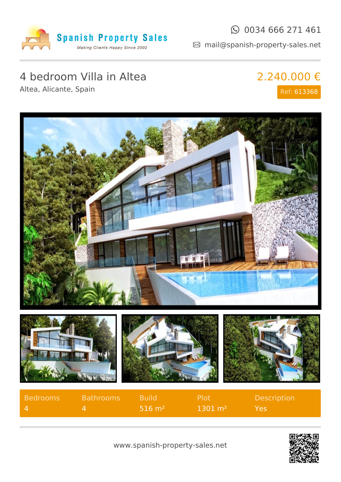

#### $\odot$  0034 666 271 461

mail@spanish-property-sales.net

# 4 bedroom Villa in Altea

Altea, Alicante, Spain

## 2.240.000 € Ref: 613368



| Bedrooms     | <b>Bathrooms</b> | <b>Build</b>           | . Plot'                | <b>Description</b> |
|--------------|------------------|------------------------|------------------------|--------------------|
| $\mathbf{A}$ |                  | $1516 \; \mathrm{m}^2$ | $1301 \; \mathrm{m}^2$ | Yes.               |

![](_page_0_Picture_8.jpeg)